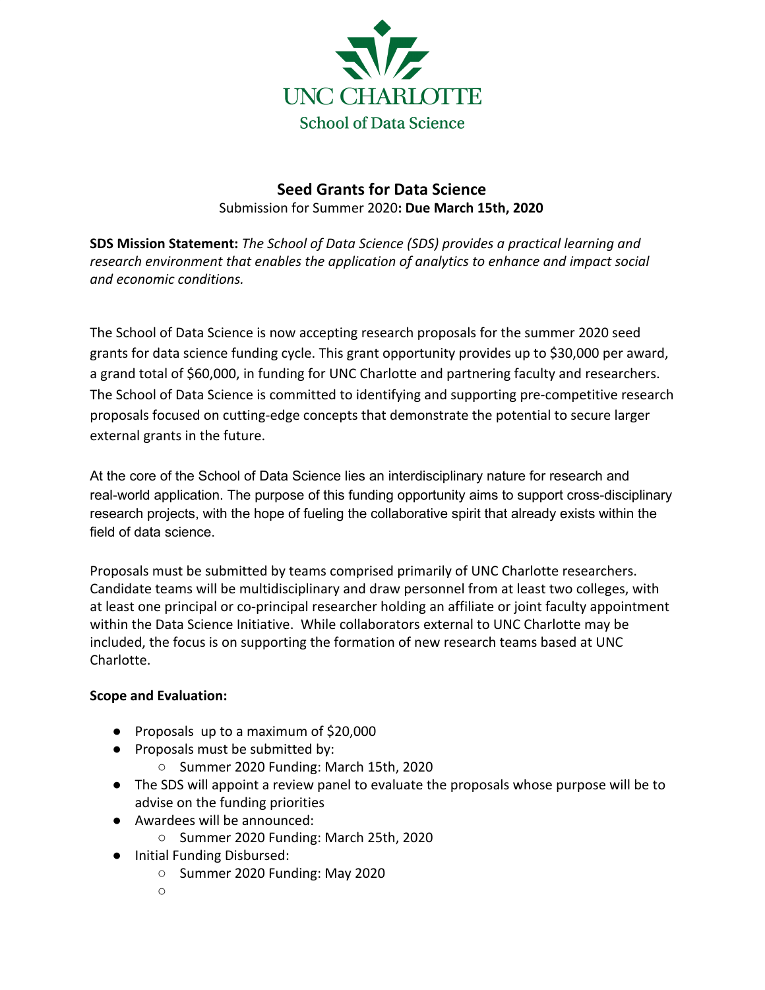

# **Seed Grants for Data Science** Submission for Summer 2020**: Due March 15th, 2020**

**SDS Mission Statement:** *The School of Data Science (SDS) provides a practical learning and research environment that enables the application of analytics to enhance and impact social and economic conditions.*

The School of Data Science is now accepting research proposals for the summer 2020 seed grants for data science funding cycle. This grant opportunity provides up to \$30,000 per award, a grand total of \$60,000, in funding for UNC Charlotte and partnering faculty and researchers. The School of Data Science is committed to identifying and supporting pre-competitive research proposals focused on cutting-edge concepts that demonstrate the potential to secure larger external grants in the future.

At the core of the School of Data Science lies an interdisciplinary nature for research and real-world application. The purpose of this funding opportunity aims to support cross-disciplinary research projects, with the hope of fueling the collaborative spirit that already exists within the field of data science.

Proposals must be submitted by teams comprised primarily of UNC Charlotte researchers. Candidate teams will be multidisciplinary and draw personnel from at least two colleges, with at least one principal or co-principal researcher holding an affiliate or joint faculty appointment within the Data Science Initiative. While collaborators external to UNC Charlotte may be included, the focus is on supporting the formation of new research teams based at UNC Charlotte.

## **Scope and Evaluation:**

- Proposals up to a maximum of \$20,000
- Proposals must be submitted by:
	- Summer 2020 Funding: March 15th, 2020
- The SDS will appoint a review panel to evaluate the proposals whose purpose will be to advise on the funding priorities
- Awardees will be announced:
	- Summer 2020 Funding: March 25th, 2020
- Initial Funding Disbursed:
	- Summer 2020 Funding: May 2020
	- $\cap$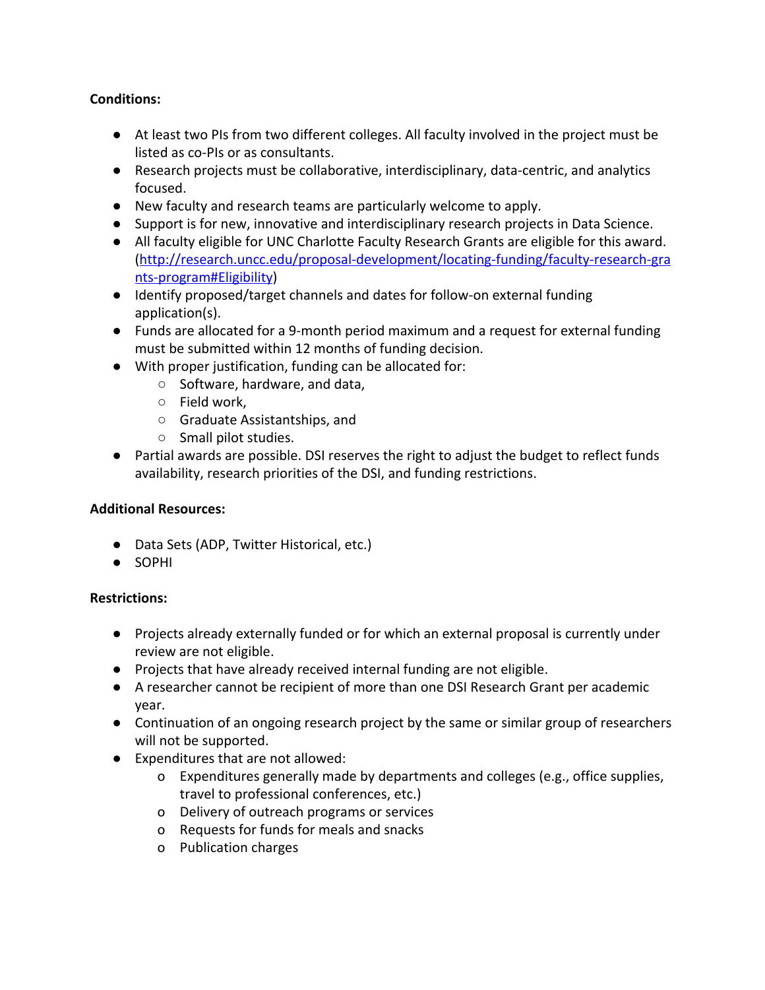## **Conditions:**

- At least two PIs from two different colleges. All faculty involved in the project must be listed as co-PIs or as consultants.
- Research projects must be collaborative, interdisciplinary, data-centric, and analytics focused.
- New faculty and research teams are particularly welcome to apply.
- Support is for new, innovative and interdisciplinary research projects in Data Science.
- All faculty eligible for UNC Charlotte Faculty Research Grants are eligible for this award. ([http://research.uncc.edu/proposal-development/locating-funding/faculty-research-gra](http://research.uncc.edu/proposal-development/locating-funding/faculty-research-grants-program#Eligibility) [nts-program#Eligibility](http://research.uncc.edu/proposal-development/locating-funding/faculty-research-grants-program#Eligibility))
- Identify proposed/target channels and dates for follow-on external funding application(s).
- Funds are allocated for a 9-month period maximum and a request for external funding must be submitted within 12 months of funding decision.
- With proper justification, funding can be allocated for:
	- Software, hardware, and data,
		- Field work,
		- Graduate Assistantships, and
		- Small pilot studies.
- Partial awards are possible. DSI reserves the right to adjust the budget to reflect funds availability, research priorities of the DSI, and funding restrictions.

## **Additional Resources:**

- Data Sets (ADP, Twitter Historical, etc.)
- SOPHI

## **Restrictions:**

- Projects already externally funded or for which an external proposal is currently under review are not eligible.
- Projects that have already received internal funding are not eligible.
- A researcher cannot be recipient of more than one DSI Research Grant per academic year.
- Continuation of an ongoing research project by the same or similar group of researchers will not be supported.
- Expenditures that are not allowed:
	- o Expenditures generally made by departments and colleges (e.g., office supplies, travel to professional conferences, etc.)
	- o Delivery of outreach programs or services
	- o Requests for funds for meals and snacks
	- o Publication charges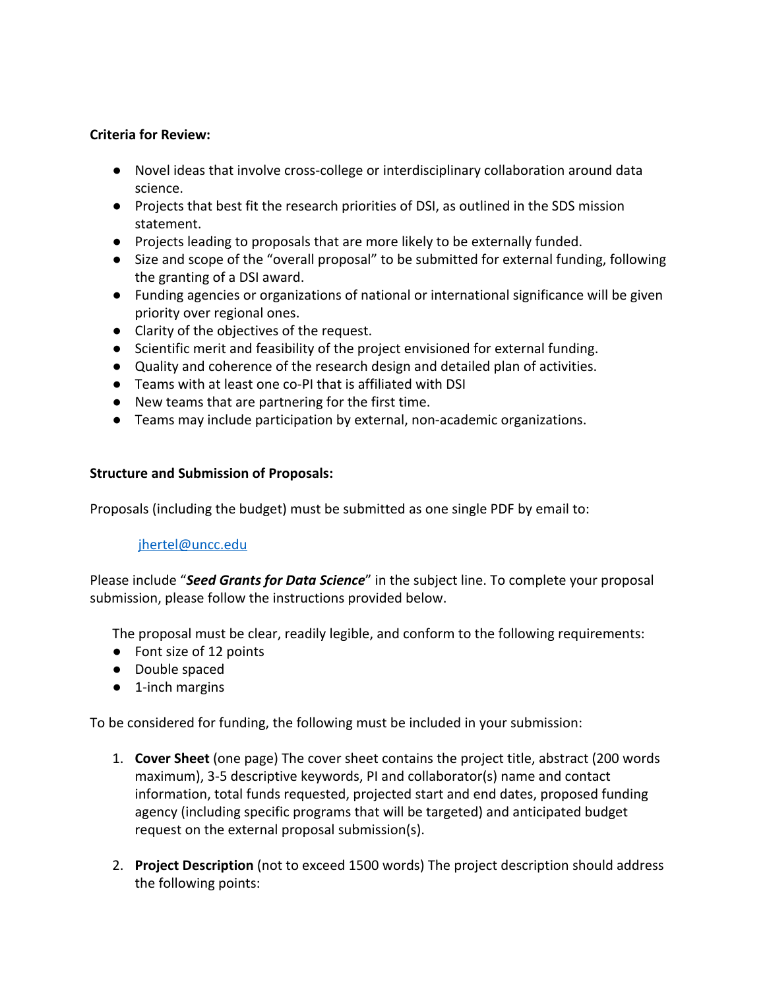### **Criteria for Review:**

- Novel ideas that involve cross-college or interdisciplinary collaboration around data science.
- Projects that best fit the research priorities of DSI, as outlined in the SDS mission statement.
- Projects leading to proposals that are more likely to be externally funded.
- Size and scope of the "overall proposal" to be submitted for external funding, following the granting of a DSI award.
- Funding agencies or organizations of national or international significance will be given priority over regional ones.
- Clarity of the objectives of the request.
- Scientific merit and feasibility of the project envisioned for external funding.
- Quality and coherence of the research design and detailed plan of activities.
- Teams with at least one co-PI that is affiliated with DSI
- New teams that are partnering for the first time.
- Teams may include participation by external, non-academic organizations.

## **Structure and Submission of Proposals:**

Proposals (including the budget) must be submitted as one single PDF by email to:

## [jhertel@uncc.edu](mailto:jhertel@uncc.edu)

Please include "*Seed Grants for Data Science*" in the subject line. To complete your proposal submission, please follow the instructions provided below.

The proposal must be clear, readily legible, and conform to the following requirements:

- Font size of 12 points
- Double spaced
- 1-inch margins

To be considered for funding, the following must be included in your submission:

- 1. **Cover Sheet** (one page) The cover sheet contains the project title, abstract (200 words maximum), 3-5 descriptive keywords, PI and collaborator(s) name and contact information, total funds requested, projected start and end dates, proposed funding agency (including specific programs that will be targeted) and anticipated budget request on the external proposal submission(s).
- 2. **Project Description** (not to exceed 1500 words) The project description should address the following points: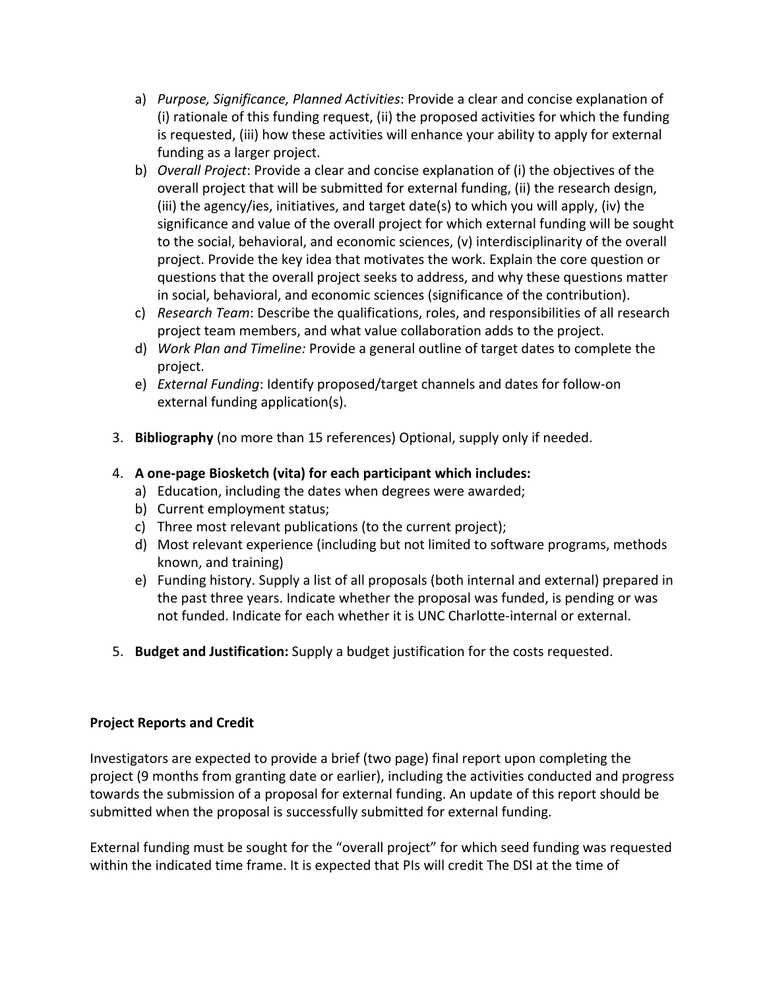- a) *Purpose, Significance, Planned Activities*: Provide a clear and concise explanation of (i) rationale of this funding request, (ii) the proposed activities for which the funding is requested, (iii) how these activities will enhance your ability to apply for external funding as a larger project.
- b) *Overall Project*: Provide a clear and concise explanation of (i) the objectives of the overall project that will be submitted for external funding, (ii) the research design, (iii) the agency/ies, initiatives, and target date(s) to which you will apply, (iv) the significance and value of the overall project for which external funding will be sought to the social, behavioral, and economic sciences, (v) interdisciplinarity of the overall project. Provide the key idea that motivates the work. Explain the core question or questions that the overall project seeks to address, and why these questions matter in social, behavioral, and economic sciences (significance of the contribution).
- c) *Research Team*: Describe the qualifications, roles, and responsibilities of all research project team members, and what value collaboration adds to the project.
- d) *Work Plan and Timeline:* Provide a general outline of target dates to complete the project.
- e) *External Funding*: Identify proposed/target channels and dates for follow-on external funding application(s).
- 3. **Bibliography** (no more than 15 references) Optional, supply only if needed.

## 4. **A one-page Biosketch (vita) for each participant which includes:**

- a) Education, including the dates when degrees were awarded;
- b) Current employment status;
- c) Three most relevant publications (to the current project);
- d) Most relevant experience (including but not limited to software programs, methods known, and training)
- e) Funding history. Supply a list of all proposals (both internal and external) prepared in the past three years. Indicate whether the proposal was funded, is pending or was not funded. Indicate for each whether it is UNC Charlotte-internal or external.
- 5. **Budget and Justification:** Supply a budget justification for the costs requested.

## **Project Reports and Credit**

Investigators are expected to provide a brief (two page) final report upon completing the project (9 months from granting date or earlier), including the activities conducted and progress towards the submission of a proposal for external funding. An update of this report should be submitted when the proposal is successfully submitted for external funding.

External funding must be sought for the "overall project" for which seed funding was requested within the indicated time frame. It is expected that PIs will credit The DSI at the time of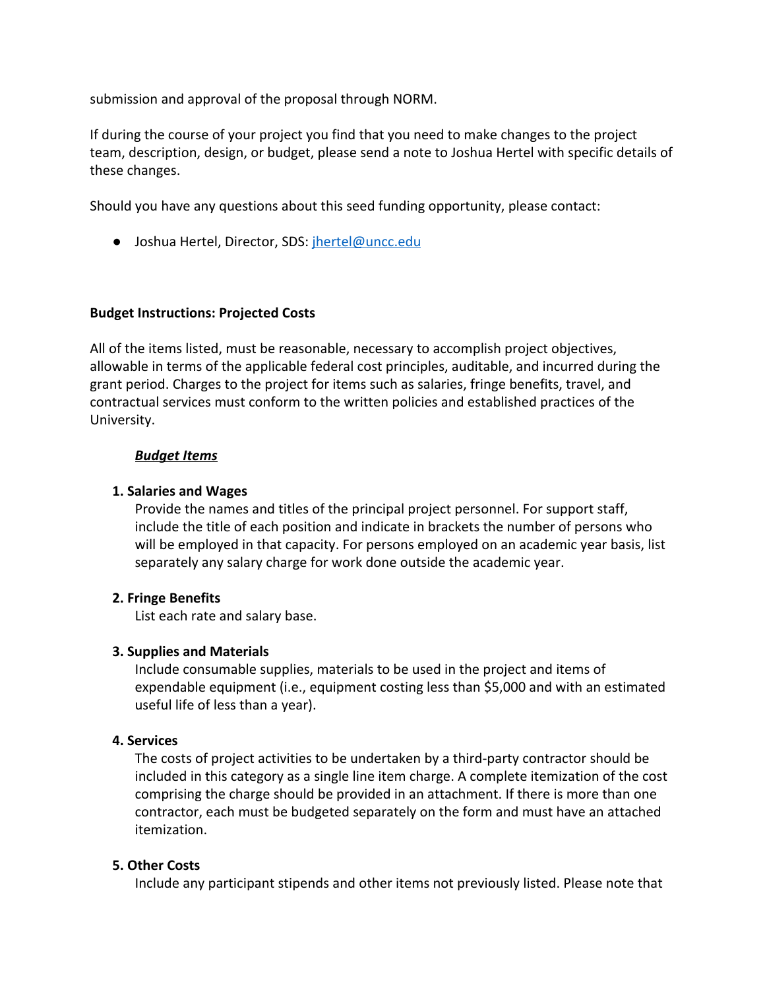submission and approval of the proposal through NORM.

If during the course of your project you find that you need to make changes to the project team, description, design, or budget, please send a note to Joshua Hertel with specific details of these changes.

Should you have any questions about this seed funding opportunity, please contact:

● Joshua Hertel, Director, SDS: [jhertel@uncc.edu](mailto:jhertel@uncc.edu)

### **Budget Instructions: Projected Costs**

All of the items listed, must be reasonable, necessary to accomplish project objectives, allowable in terms of the applicable federal cost principles, auditable, and incurred during the grant period. Charges to the project for items such as salaries, fringe benefits, travel, and contractual services must conform to the written policies and established practices of the University.

#### *Budget Items*

#### **1. Salaries and Wages**

Provide the names and titles of the principal project personnel. For support staff, include the title of each position and indicate in brackets the number of persons who will be employed in that capacity. For persons employed on an academic year basis, list separately any salary charge for work done outside the academic year.

#### **2. Fringe Benefits**

List each rate and salary base.

#### **3. Supplies and Materials**

Include consumable supplies, materials to be used in the project and items of expendable equipment (i.e., equipment costing less than \$5,000 and with an estimated useful life of less than a year).

#### **4. Services**

The costs of project activities to be undertaken by a third-party contractor should be included in this category as a single line item charge. A complete itemization of the cost comprising the charge should be provided in an attachment. If there is more than one contractor, each must be budgeted separately on the form and must have an attached itemization.

#### **5. Other Costs**

Include any participant stipends and other items not previously listed. Please note that